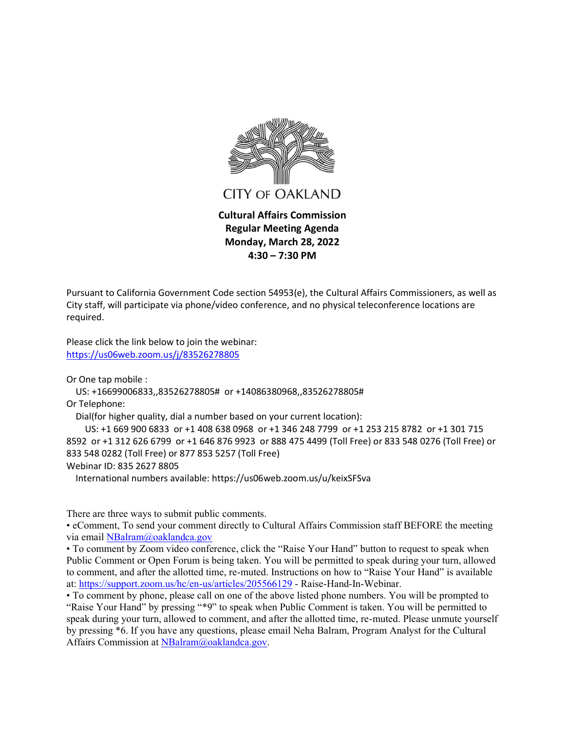

Pursuant to California Government Code section 54953(e), the Cultural Affairs Commissioners, as well as City staff, will participate via phone/video conference, and no physical teleconference locations are required.

Please click the link below to join the webinar: <https://us06web.zoom.us/j/83526278805>

Or One tap mobile :

US: +16699006833,,83526278805# or +14086380968,,83526278805#

Or Telephone:

Dial(for higher quality, dial a number based on your current location):

 US: +1 669 900 6833 or +1 408 638 0968 or +1 346 248 7799 or +1 253 215 8782 or +1 301 715 8592 or +1 312 626 6799 or +1 646 876 9923 or 888 475 4499 (Toll Free) or 833 548 0276 (Toll Free) or 833 548 0282 (Toll Free) or 877 853 5257 (Toll Free) Webinar ID: 835 2627 8805

International numbers available: https://us06web.zoom.us/u/keixSFSva

There are three ways to submit public comments.

 eComment, To send your comment directly to Cultural Affairs Commission staff BEFORE the meeting via email [NBalram@oaklandca.gov](mailto:nbalram@oaklandca.gov)

• To comment by Zoom video conference, click the "Raise Your Hand" button to request to speak when Public Comment or Open Forum is being taken. You will be permitted to speak during your turn, allowed to comment, and after the allotted time, re-muted. Instructions on how to "Raise Your Hand" is available at[: https://support.zoom.us/hc/en-us/articles/205566129](https://support.zoom.us/hc/en-us/articles/205566129) - Raise-Hand-In-Webinar.

• To comment by phone, please call on one of the above listed phone numbers. You will be prompted to "Raise Your Hand" by pressing "\*9" to speak when Public Comment is taken. You will be permitted to speak during your turn, allowed to comment, and after the allotted time, re-muted. Please unmute yourself by pressing \*6. If you have any questions, please email Neha Balram, Program Analyst for the Cultural Affairs Commission at [NBalram@oaklandca.gov.](mailto:NBalram@oaklandca.gov)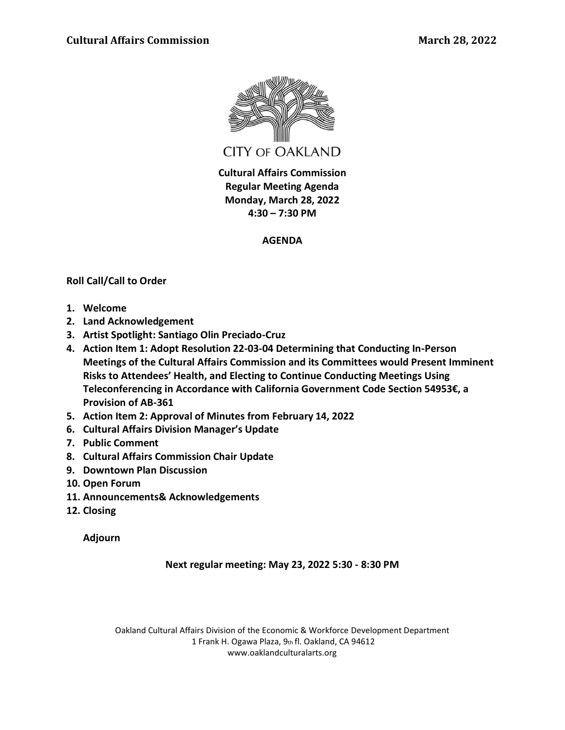

**Cultural Affairs Commission Regular Meeting Agenda Monday, March 28, 2022 4:30 – 7:30 PM**

# **AGENDA**

# **Roll Call/Call to Order**

- **1. Welcome**
- **2. Land Acknowledgement**
- **3. Artist Spotlight: Santiago Olin Preciado-Cruz**
- **4. Action Item 1: Adopt Resolution 22-03-04 Determining that Conducting In-Person Meetings of the Cultural Affairs Commission and its Committees would Present Imminent Risks to Attendees' Health, and Electing to Continue Conducting Meetings Using**  Teleconferencing in Accordance with California Government Code Section 54953€, a **Provision of AB-361**
- **5. Action Item 2: Approval of Minutes from February 14, 2022**
- **6. Cultural Affairs Division Manager's Update**
- **7. Public Comment**
- **8. Cultural Affairs Commission Chair Update**
- **9. Downtown Plan Discussion**
- **10. Open Forum**
- **11. Announcements& Acknowledgements**
- **12. Closing**

**Adjourn** 

**Next regular meeting: May 23, 2022 5:30 - 8:30 PM**

Oakland Cultural Affairs Division of the Economic & Workforce Development Department 1 Frank H. Ogawa Plaza, 9th fl. Oakland, CA 94612 www.oaklandculturalarts.org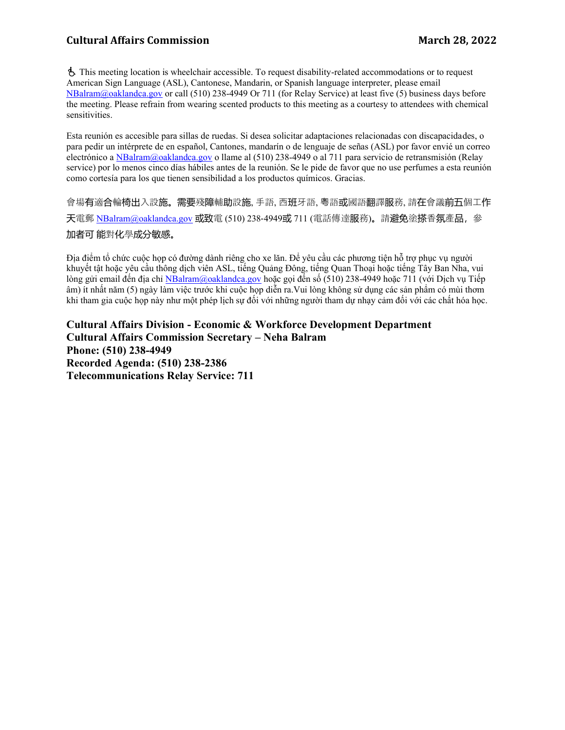# **Cultural Affairs Commission March 28, 2022**

Ë This meeting location is wheelchair accessible. To request disability-related accommodations or to request American Sign Language (ASL), Cantonese, Mandarin, or Spanish language interpreter, please email [NBalram@oaklandca.gov](mailto:NBalram@oaklandca.gov) or call (510) 238-4949 Or 711 (for Relay Service) at least five (5) business days before the meeting. Please refrain from wearing scented products to this meeting as a courtesy to attendees with chemical sensitivities.

Esta reunión es accesible para sillas de ruedas. Si desea solicitar adaptaciones relacionadas con discapacidades, o para pedir un intérprete de en español, Cantones, mandarín o de lenguaje de señas (ASL) por favor envié un correo electrónico a [NBalram@oaklandca.gov](mailto:NBalram@oaklandca.gov) o llame al (510) 238-4949 o al 711 para servicio de retransmisión (Relay service) por lo menos cinco días hábiles antes de la reunión. Se le pide de favor que no use perfumes a esta reunión como cortesía para los que tienen sensibilidad a los productos químicos. Gracias.

會場有適合輪椅出入設施。需要殘障輔助設施, 手語, 西班牙語, 粵語或國語翻譯服務, 請在會議前五個工作 天電郵 [NBalram@oaklandca.gov](mailto:NBalram@oaklandca.gov) 或致電 (510) 238-4949或 711 (電話傳達服務)。請避免塗搽香氛產品, 參 加者可 能對化學成分敏感。

Địa điểm tổ chức cuộc họp có đường dành riêng cho xe lăn. Để yêu cầu các phương tiên hỗ trợ phục vụ người khuyết tật hoặc yêu cầu thông dịch viên ASL, tiếng Quảng Đông, tiếng Quan Thoại hoặc tiếng Tây Ban Nha, vui lòng gửi email đến địa chỉ [NBalram@oaklandca.gov](mailto:NBalram@oaklandca.gov) hoặc gọi đến số (510) 238-4949 hoặc 711 (với Dịch vụ Tiếp âm) ít nhất năm (5) ngày làm việc trước khi cuộc họp diễn ra.Vui lòng không sử dụng các sản phẩm có mùi thơm khi tham gia cuộc họp này như một phép lịch sự đối với những người tham dự nhạy cảm đối với các chất hóa học.

**Cultural Affairs Division - Economic & Workforce Development Department Cultural Affairs Commission Secretary – Neha Balram Phone: (510) 238-4949 Recorded Agenda: (510) 238-2386 Telecommunications Relay Service: 711**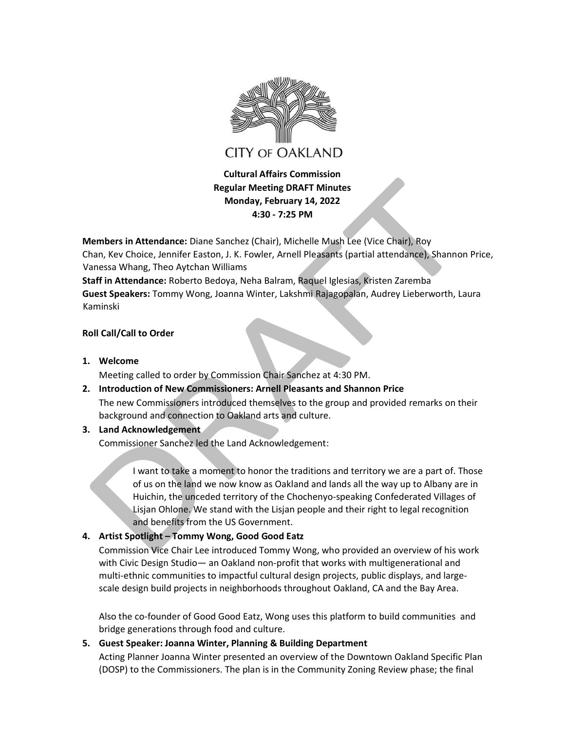

**Cultural Affairs Commission Regular Meeting DRAFT Minutes Monday, February 14, 2022 4:30 - 7:25 PM** 

**Members in Attendance:** Diane Sanchez (Chair), Michelle Mush Lee (Vice Chair), Roy

Chan, Kev Choice, Jennifer Easton, J. K. Fowler, Arnell Pleasants (partial attendance), Shannon Price, Vanessa Whang, Theo Aytchan Williams

**Staff in Attendance:** Roberto Bedoya, Neha Balram, Raquel Iglesias, Kristen Zaremba **Guest Speakers:** Tommy Wong, Joanna Winter, Lakshmi Rajagopalan, Audrey Lieberworth, Laura Kaminski

## **Roll Call/Call to Order**

**1. Welcome**

Meeting called to order by Commission Chair Sanchez at 4:30 PM.

- **2. Introduction of New Commissioners: Arnell Pleasants and Shannon Price**  The new Commissioners introduced themselves to the group and provided remarks on their background and connection to Oakland arts and culture.
- **3. Land Acknowledgement**

Commissioner Sanchez led the Land Acknowledgement:

I want to take a moment to honor the traditions and territory we are a part of. Those of us on the land we now know as Oakland and lands all the way up to Albany are in Huichin, the unceded territory of the Chochenyo-speaking Confederated Villages of Lisjan Ohlone. We stand with the Lisjan people and their right to legal recognition and benefits from the US Government.

# **4. Artist Spotlight ʹ Tommy Wong, Good Good Eatz**

Commission Vice Chair Lee introduced Tommy Wong, who provided an overview of his work with Civic Design Studio - an Oakland non-profit that works with multigenerational and multi-ethnic communities to impactful cultural design projects, public displays, and largescale design build projects in neighborhoods throughout Oakland, CA and the Bay Area.

Also the co-founder of Good Good Eatz, Wong uses this platform to build communities and bridge generations through food and culture.

# **5. Guest Speaker: Joanna Winter, Planning & Building Department**

Acting Planner Joanna Winter presented an overview of the Downtown Oakland Specific Plan (DOSP) to the Commissioners. The plan is in the Community Zoning Review phase; the final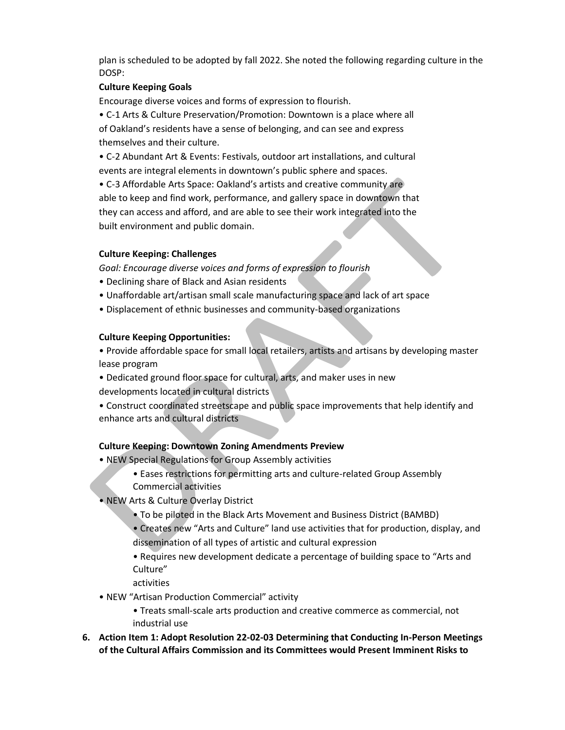plan is scheduled to be adopted by fall 2022. She noted the following regarding culture in the DOSP:

# **Culture Keeping Goals**

Encourage diverse voices and forms of expression to flourish.

• C-1 Arts & Culture Preservation/Promotion: Downtown is a place where all of Oakland's residents have a sense of belonging, and can see and express themselves and their culture.

ͻ C-2 Abundant Art & Events: Festivals, outdoor art installations, and cultural events are integral elements in downtown's public sphere and spaces.

• C-3 Affordable Arts Space: Oakland's artists and creative community are able to keep and find work, performance, and gallery space in downtown that they can access and afford, and are able to see their work integrated into the built environment and public domain.

## **Culture Keeping: Challenges**

*Goal: Encourage diverse voices and forms of expression to flourish*

- Declining share of Black and Asian residents
- Unaffordable art/artisan small scale manufacturing space and lack of art space
- Displacement of ethnic businesses and community-based organizations

## **Culture Keeping Opportunities:**

• Provide affordable space for small local retailers, artists and artisans by developing master lease program

- Dedicated ground floor space for cultural, arts, and maker uses in new developments located in cultural districts
- Construct coordinated streetscape and public space improvements that help identify and enhance arts and cultural districts

# **Culture Keeping: Downtown Zoning Amendments Preview**

- NEW Special Regulations for Group Assembly activities
	- Eases restrictions for permitting arts and culture-related Group Assembly
	- Commercial activities
- NEW Arts & Culture Overlay District
	- To be piloted in the Black Arts Movement and Business District (BAMBD)
	- Creates new "Arts and Culture" land use activities that for production, display, and dissemination of all types of artistic and cultural expression
	- Requires new development dedicate a percentage of building space to "Arts and Culture"
	- activities
- NEW "Artisan Production Commercial" activity
	- Treats small-scale arts production and creative commerce as commercial, not industrial use
- **6. Action Item 1: Adopt Resolution 22-02-03 Determining that Conducting In-Person Meetings of the Cultural Affairs Commission and its Committees would Present Imminent Risks to**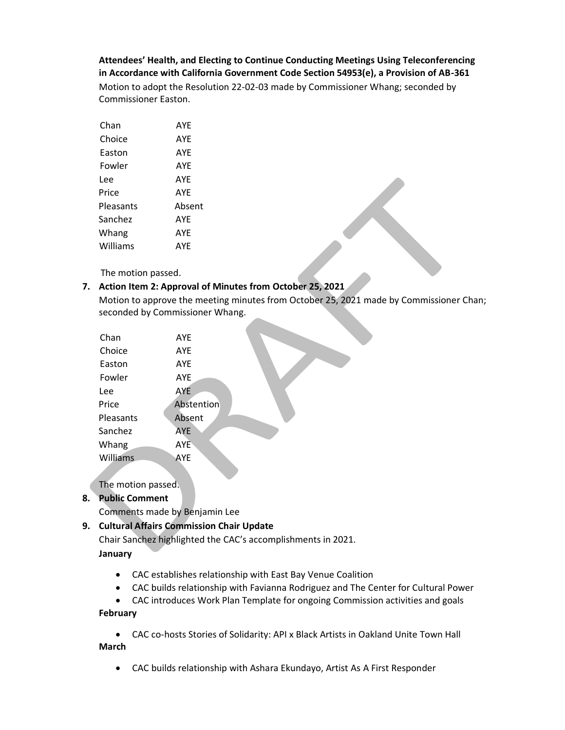**AƚƚendeeƐ͛ Health, and Electing to Continue Conducting Meetings Using Teleconferencing in Accordance with California Government Code Section 54953(e), a Provision of AB-361** Motion to adopt the Resolution 22-02-03 made by Commissioner Whang; seconded by Commissioner Easton.

| Chan      | AYF        |
|-----------|------------|
| Choice    | <b>AYF</b> |
| Easton    | AYE        |
| Fowler    | <b>AYF</b> |
| Lee       | AYF        |
| Price     | AYF        |
| Pleasants | Absent     |
| Sanchez   | <b>AYF</b> |
| Whang     | AYE        |
| Williams  | AYF        |

The motion passed.

# **7. Action Item 2: Approval of Minutes from October 25, 2021**

Motion to approve the meeting minutes from October 25, 2021 made by Commissioner Chan; seconded by Commissioner Whang.

| Chan            | <b>AYE</b> |  |
|-----------------|------------|--|
| Choice          | <b>AYE</b> |  |
| Easton          | <b>AYE</b> |  |
| Fowler          | <b>AYE</b> |  |
| Lee             | <b>AYE</b> |  |
| Price           | Abstention |  |
| Pleasants       | Absent     |  |
| Sanchez         | <b>AYE</b> |  |
| Whang           | <b>AYE</b> |  |
| <b>Williams</b> | AYE        |  |
|                 |            |  |

The motion passed.

# **8. Public Comment**

Comments made by Benjamin Lee

# **9. Cultural Affairs Commission Chair Update**

Chair Sanchez highlighted the CAC's accomplishments in 2021.

**January**

- CAC establishes relationship with East Bay Venue Coalition
- CAC builds relationship with Favianna Rodriguez and The Center for Cultural Power
- CAC introduces Work Plan Template for ongoing Commission activities and goals

**February**

- CAC co-hosts Stories of Solidarity: API x Black Artists in Oakland Unite Town Hall **March** 
	- CAC builds relationship with Ashara Ekundayo, Artist As A First Responder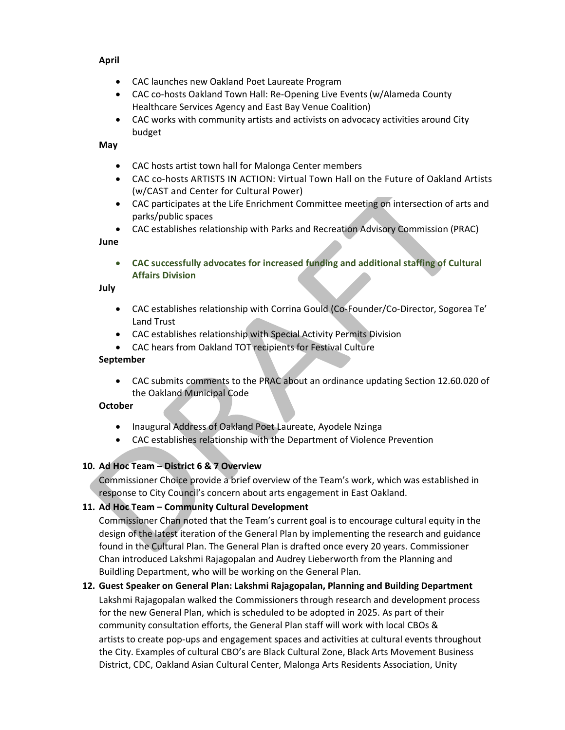# **April**

- CAC launches new Oakland Poet Laureate Program
- CAC co-hosts Oakland Town Hall: Re-Opening Live Events (w/Alameda County Healthcare Services Agency and East Bay Venue Coalition)
- CAC works with community artists and activists on advocacy activities around City budget

## **May**

- CAC hosts artist town hall for Malonga Center members
- CAC co-hosts ARTISTS IN ACTION: Virtual Town Hall on the Future of Oakland Artists (w/CAST and Center for Cultural Power)
- CAC participates at the Life Enrichment Committee meeting on intersection of arts and parks/public spaces
- x CAC establishes relationship with Parks and Recreation Advisory Commission (PRAC)

#### **June**

x **CAC successfully advocates for increased funding and additional staffing of Cultural Affairs Division**

#### **July**

- CAC establishes relationship with Corrina Gould (Co-Founder/Co-Director, Sogorea Te' Land Trust
- CAC establishes relationship with Special Activity Permits Division
- CAC hears from Oakland TOT recipients for Festival Culture

## **September**

x CAC submits comments to the PRAC about an ordinance updating Section 12.60.020 of the Oakland Municipal Code

## **October**

- Inaugural Address of Oakland Poet Laureate, Ayodele Nzinga
- CAC establishes relationship with the Department of Violence Prevention

# **10. Ad Hoc Team ʹ District 6 & 7 Overview**

Commissioner Choice provide a brief overview of the Team's work, which was established in response to City Council's concern about arts engagement in East Oakland.

# **11. Ad Hoc Team ʹ Community Cultural Development**

Commissioner Chan noted that the Team's current goal is to encourage cultural equity in the design of the latest iteration of the General Plan by implementing the research and guidance found in the Cultural Plan. The General Plan is drafted once every 20 years. Commissioner Chan introduced Lakshmi Rajagopalan and Audrey Lieberworth from the Planning and Buildling Department, who will be working on the General Plan.

# **12. Guest Speaker on General Plan: Lakshmi Rajagopalan, Planning and Building Department**  Lakshmi Rajagopalan walked the Commissioners through research and development process for the new General Plan, which is scheduled to be adopted in 2025. As part of their community consultation efforts, the General Plan staff will work with local CBOs & artists to create pop-ups and engagement spaces and activities at cultural events throughout the City. Examples of cultural CBO's are Black Cultural Zone, Black Arts Movement Business District, CDC, Oakland Asian Cultural Center, Malonga Arts Residents Association, Unity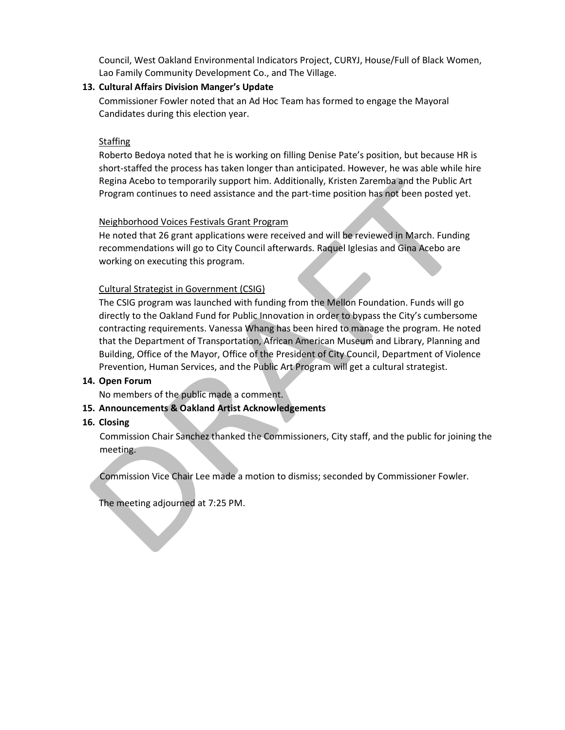Council, West Oakland Environmental Indicators Project, CURYJ, House/Full of Black Women, Lao Family Community Development Co., and The Village.

#### 13. Cultural Affairs Division Manger's Update

Commissioner Fowler noted that an Ad Hoc Team has formed to engage the Mayoral Candidates during this election year.

#### **Staffing**

Roberto Bedoya noted that he is working on filling Denise Pate's position, but because HR is short-staffed the process has taken longer than anticipated. However, he was able while hire Regina Acebo to temporarily support him. Additionally, Kristen Zaremba and the Public Art Program continues to need assistance and the part-time position has not been posted yet.

## Neighborhood Voices Festivals Grant Program

He noted that 26 grant applications were received and will be reviewed in March. Funding recommendations will go to City Council afterwards. Raquel Iglesias and Gina Acebo are working on executing this program.

## Cultural Strategist in Government (CSIG)

The CSIG program was launched with funding from the Mellon Foundation. Funds will go directly to the Oakland Fund for Public Innovation in order to bypass the City's cumbersome contracting requirements. Vanessa Whang has been hired to manage the program. He noted that the Department of Transportation, African American Museum and Library, Planning and Building, Office of the Mayor, Office of the President of City Council, Department of Violence Prevention, Human Services, and the Public Art Program will get a cultural strategist.

#### **14. Open Forum**

No members of the public made a comment.

## **15. Announcements & Oakland Artist Acknowledgements**

## **16. Closing**

Commission Chair Sanchez thanked the Commissioners, City staff, and the public for joining the meeting.

Commission Vice Chair Lee made a motion to dismiss; seconded by Commissioner Fowler.

The meeting adjourned at 7:25 PM.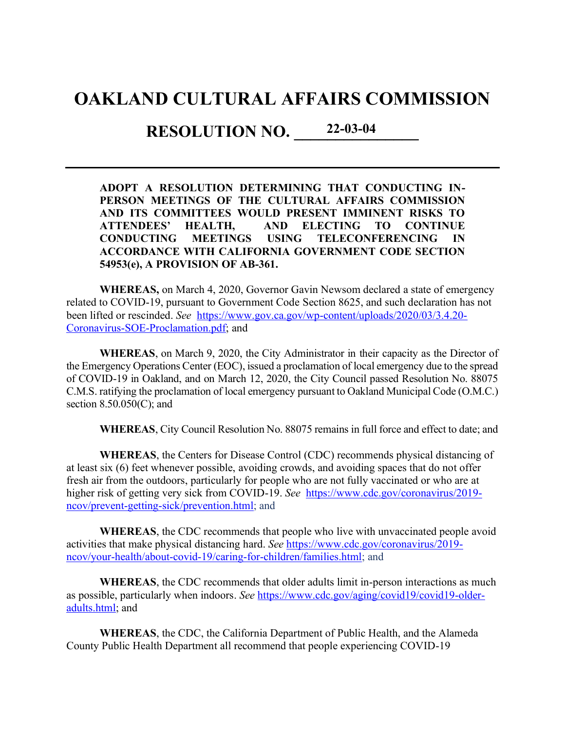# **OAKLAND CULTURAL AFFAIRS COMMISSION**

**RESOLUTION NO. 22-03-04** 

**ADOPT A RESOLUTION DETERMINING THAT CONDUCTING IN-PERSON MEETINGS OF THE CULTURAL AFFAIRS COMMISSION AND ITS COMMITTEES WOULD PRESENT IMMINENT RISKS TO ATTENDEES' HEALTH, AND ELECTING TO CONTINUE CONDUCTING MEETINGS USING TELECONFERENCING IN ACCORDANCE WITH CALIFORNIA GOVERNMENT CODE SECTION 54953(e), A PROVISION OF AB-361.**

**WHEREAS,** on March 4, 2020, Governor Gavin Newsom declared a state of emergency related to COVID-19, pursuant to Government Code Section 8625, and such declaration has not been lifted or rescinded. *See* [https://www.gov.ca.gov/wp-content/uploads/2020/03/3.4.20-](https://www.gov.ca.gov/wp-content/uploads/2020/03/3.4.20-Coronavirus-SOE-Proclamation.pdf) [Coronavirus-SOE-Proclamation.pdf;](https://www.gov.ca.gov/wp-content/uploads/2020/03/3.4.20-Coronavirus-SOE-Proclamation.pdf) and

**WHEREAS**, on March 9, 2020, the City Administrator in their capacity as the Director of the Emergency Operations Center (EOC), issued a proclamation of local emergency due to the spread of COVID-19 in Oakland, and on March 12, 2020, the City Council passed Resolution No. 88075 C.M.S. ratifying the proclamation of local emergency pursuant to Oakland Municipal Code (O.M.C.) section 8.50.050(C); and

**WHEREAS**, City Council Resolution No. 88075 remains in full force and effect to date; and

**WHEREAS**, the Centers for Disease Control (CDC) recommends physical distancing of at least six (6) feet whenever possible, avoiding crowds, and avoiding spaces that do not offer fresh air from the outdoors, particularly for people who are not fully vaccinated or who are at higher risk of getting very sick from COVID-19. *See* [https://www.cdc.gov/coronavirus/2019](https://www.cdc.gov/coronavirus/2019-ncov/prevent-getting-sick/prevention.html) [ncov/prevent-getting-sick/prevention.html;](https://www.cdc.gov/coronavirus/2019-ncov/prevent-getting-sick/prevention.html) and

**WHEREAS**, the CDC recommends that people who live with unvaccinated people avoid activities that make physical distancing hard. *See* [https://www.cdc.gov/coronavirus/2019](https://www.cdc.gov/coronavirus/2019-ncov/your-health/about-covid-19/caring-for-children/families.html) [ncov/your-health/about-covid-19/caring-for-children/families.html;](https://www.cdc.gov/coronavirus/2019-ncov/your-health/about-covid-19/caring-for-children/families.html) and

**WHEREAS**, the CDC recommends that older adults limit in-person interactions as much as possible, particularly when indoors. *See* [https://www.cdc.gov/aging/covid19/covid19-older](https://www.cdc.gov/aging/covid19/covid19-older-adults.html)[adults.html;](https://www.cdc.gov/aging/covid19/covid19-older-adults.html) and

**WHEREAS**, the CDC, the California Department of Public Health, and the Alameda County Public Health Department all recommend that people experiencing COVID-19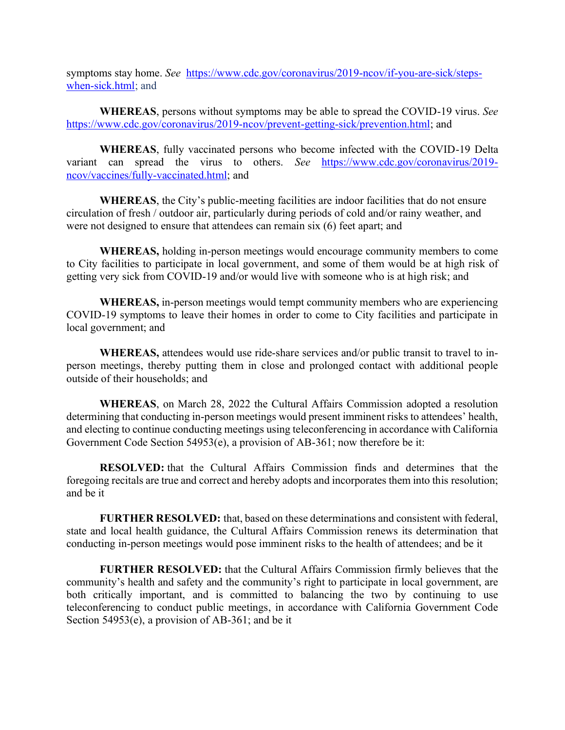symptoms stay home. *See* [https://www.cdc.gov/coronavirus/2019-ncov/if-you-are-sick/steps](https://www.cdc.gov/coronavirus/2019-ncov/if-you-are-sick/steps-when-sick.html)[when-sick.html;](https://www.cdc.gov/coronavirus/2019-ncov/if-you-are-sick/steps-when-sick.html) and

**WHEREAS**, persons without symptoms may be able to spread the COVID-19 virus. *See*  [https://www.cdc.gov/coronavirus/2019-ncov/prevent-getting-sick/prevention.html;](https://www.cdc.gov/coronavirus/2019-ncov/prevent-getting-sick/prevention.html) and

**WHEREAS**, fully vaccinated persons who become infected with the COVID-19 Delta variant can spread the virus to others. *See* [https://www.cdc.gov/coronavirus/2019](https://www.cdc.gov/coronavirus/2019-ncov/vaccines/fully-vaccinated.html) [ncov/vaccines/fully-vaccinated.html;](https://www.cdc.gov/coronavirus/2019-ncov/vaccines/fully-vaccinated.html) and

**WHEREAS**, the City's public-meeting facilities are indoor facilities that do not ensure circulation of fresh / outdoor air, particularly during periods of cold and/or rainy weather, and were not designed to ensure that attendees can remain six (6) feet apart; and

**WHEREAS,** holding in-person meetings would encourage community members to come to City facilities to participate in local government, and some of them would be at high risk of getting very sick from COVID-19 and/or would live with someone who is at high risk; and

**WHEREAS,** in-person meetings would tempt community members who are experiencing COVID-19 symptoms to leave their homes in order to come to City facilities and participate in local government; and

**WHEREAS,** attendees would use ride-share services and/or public transit to travel to inperson meetings, thereby putting them in close and prolonged contact with additional people outside of their households; and

**WHEREAS**, on March 28, 2022 the Cultural Affairs Commission adopted a resolution determining that conducting in-person meetings would present imminent risks to attendees' health, and electing to continue conducting meetings using teleconferencing in accordance with California Government Code Section 54953(e), a provision of AB-361; now therefore be it:

**RESOLVED:** that the Cultural Affairs Commission finds and determines that the foregoing recitals are true and correct and hereby adopts and incorporates them into this resolution; and be it

**FURTHER RESOLVED:** that, based on these determinations and consistent with federal, state and local health guidance, the Cultural Affairs Commission renews its determination that conducting in-person meetings would pose imminent risks to the health of attendees; and be it

**FURTHER RESOLVED:** that the Cultural Affairs Commission firmly believes that the community's health and safety and the community's right to participate in local government, are both critically important, and is committed to balancing the two by continuing to use teleconferencing to conduct public meetings, in accordance with California Government Code Section 54953(e), a provision of AB-361; and be it